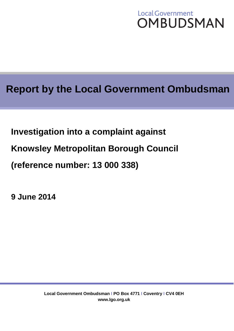# **Local Government OMBUDSMAN**

# **Report by the Local Government Ombudsman**

**Investigation into a complaint against**

**Knowsley Metropolitan Borough Council**

**(reference number: 13 000 338)**

**9 June 2014**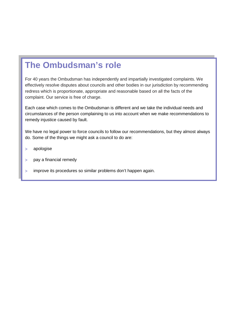# **The Ombudsman's role**

For 40 years the Ombudsman has independently and impartially investigated complaints. We effectively resolve disputes about councils and other bodies in our jurisdiction by recommending redress which is proportionate, appropriate and reasonable based on all the facts of the complaint. Our service is free of charge.

Each case which comes to the Ombudsman is different and we take the individual needs and circumstances of the person complaining to us into account when we make recommendations to remedy injustice caused by fault.

We have no legal power to force councils to follow our recommendations, but they almost always do. Some of the things we might ask a council to do are:

- apologise
- pay a financial remedy
- improve its procedures so similar problems don't happen again.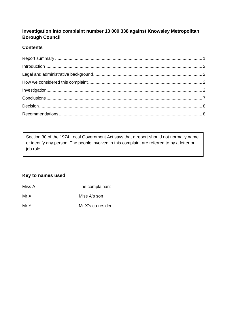# **Investigation into complaint number 13 000 338 against Knowsley Metropolitan Borough Council**

# **Contents**

Section 30 of the 1974 Local Government Act says that a report should not normally name or identify any person. The people involved in this complaint are referred to by a letter or job role.

### **Key to names used**

<span id="page-2-0"></span>

| Miss A | The complainant    |
|--------|--------------------|
| Mr X   | Miss A's son       |
| Mr Y   | Mr X's co-resident |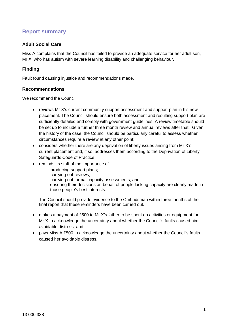# **Report summary**

#### **Adult Social Care**

Miss A complains that the Council has failed to provide an adequate service for her adult son, Mr X, who has autism with severe learning disability and challenging behaviour.

#### **Finding**

Fault found causing injustice and recommendations made.

#### **Recommendations**

We recommend the Council:

- reviews Mr X's current community support assessment and support plan in his new placement. The Council should ensure both assessment and resulting support plan are sufficiently detailed and comply with government guidelines. A review timetable should be set up to include a further three month review and annual reviews after that. Given the history of the case, the Council should be particularly careful to assess whether circumstances require a review at any other point;
- considers whether there are any deprivation of liberty issues arising from Mr X's current placement and, if so, addresses them according to the Deprivation of Liberty Safeguards Code of Practice;
- reminds its staff of the importance of
	- producing support plans;
	- carrying out reviews;
	- carrying out formal capacity assessments; and
	- ensuring their decisions on behalf of people lacking capacity are clearly made in those people's best interests.

The Council should provide evidence to the Ombudsman within three months of the final report that these reminders have been carried out.

- makes a payment of £500 to Mr X's father to be spent on activities or equipment for Mr X to acknowledge the uncertainty about whether the Council's faults caused him avoidable distress; and
- pays Miss A £500 to acknowledge the uncertainty about whether the Council's faults caused her avoidable distress.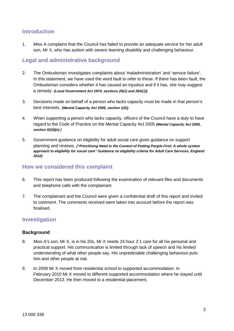# <span id="page-4-0"></span>**Introduction**

1. Miss A complains that the Council has failed to provide an adequate service for her adult son, Mr X, who has autism with severe learning disability and challenging behaviour.

# <span id="page-4-1"></span>**Legal and administrative background**

- 2. The Ombudsman investigates complaints about 'maladministration' and 'service failure'. In this statement, we have used the word fault to refer to these. If there has been fault, the Ombudsman considers whether it has caused an injustice and if it has, she may suggest a remedy. *(Local Government Act 1974, sections 26(1) and 26A(1))*
- 3. Decisions made on behalf of a person who lacks capacity must be made in that person's best interests. *(Mental Capacity Act 2005, section 1(5))*
- 4. When supporting a person who lacks capacity, officers of the Council have a duty to have regard to the Code of Practice on the Mental Capacity Act 2005 *(Mental Capacity Act 2005, section 42(4)(e) )*
- 5. Government guidance on eligibility for adult social care gives guidance on support planning and reviews. *("Prioritising Need in the Context of Putting People First: A whole system approach to eligibility for social care" Guidance on eligibility criteria for Adult Care Services, England 2010)*

# <span id="page-4-2"></span>**How we considered this complaint**

- 6. This report has been produced following the examination of relevant files and documents and telephone calls with the complainant.
- 7. The complainant and the Council were given a confidential draft of this report and invited to comment. The comments received were taken into account before the report was finalised.

# <span id="page-4-3"></span>**Investigation**

#### **Background**

- 8. Miss A's son, Mr X, is in his 20s. Mr X needs 24 hour 2:1 care for all his personal and practical support. His communication is limited through lack of speech and his limited understanding of what other people say. His unpredictable challenging behaviour puts him and other people at risk.
- 9. In 2009 Mr X moved from residential school to supported accommodation. In February 2010 Mr X moved to different supported accommodation where he stayed until December 2013. He then moved to a residential placement.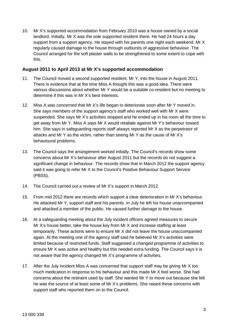10. Mr X's supported accommodation from February 2010 was a house owned by a social landlord. Initially, Mr X was the sole supported resident there. He had 24 hours a day support from a support agency. He stayed with his parents one night each weekend. Mr X regularly caused damage to the house through outbursts of aggressive behaviour. The Council arranged for the soft plaster walls to be strengthened to some extent to cope with this.

#### **August 2011 to April 2013 at Mr X's supported accommodation**

- 11. The Council moved a second supported resident, Mr Y, into the house in August 2011. There is evidence that at the time Miss A thought this was a good idea. There were various discussions about whether Mr Y would be a suitable co-resident but no meeting to determine if this was in Mr X's best interests.
- 12. Miss A was concerned that Mr X's life began to deteriorate soon after Mr Y moved in. She says members of the support agency's staff who worked well with Mr X were suspended. She says Mr X's activities stopped and he ended up in his room all the time to get away from Mr Y. Miss A says Mr X would retaliate against Mr Y's behaviour toward him. She says in safeguarding reports staff always reported Mr X as the perpetrator of attacks and Mr Y as the victim, rather than seeing Mr Y as the cause of Mr X's behavioural problems.
- 13. The Council says the arrangement worked initially. The Council's records show some concerns about Mr X's behaviour after August 2011 but the records do not suggest a significant change in behaviour. The records show that in March 2012 the support agency said it was going to refer Mr X to the Council's Positive Behaviour Support Service (PBSS).
- 14. The Council carried out a review of Mr X's support in March 2012.
- 15. From mid 2012 there are records which support a clear deterioration in Mr X's behaviour. He attacked Mr Y, support staff and his parents. In July he left his house unaccompanied and attacked a member of the public. He caused further damage to the house.
- 16. At a safeguarding meeting about the July incident officers agreed measures to secure Mr X's house better, take the house key from Mr X and increase staffing at least temporarily. These actions were to ensure Mr X did not leave the house unaccompanied again. At the meeting one of the agency staff said he believed Mr X's activities were limited because of restricted funds. Staff suggested a changed programme of activities to ensure Mr X was active and healthy but this needed extra funding. The Council says it is not aware that the agency changed Mr X's programme of activities.
- 17. After the July incident Miss A was concerned that support staff may be giving Mr X too much medication in response to his behaviour and this made Mr X feel worse. She had concerns about the restraint used by staff. She wanted Mr Y to move out because she felt he was the source of at least some of Mr X's problems. She raised these concerns with support staff who reported them on to the Council.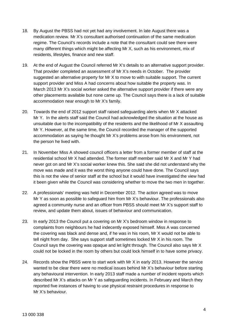- 18. By August the PBSS had not yet had any involvement. In late August there was a medication review. Mr X's consultant authorised continuation of the same medication regime. The Council's records include a note that the consultant could see there were many different things which might be affecting Mr X, such as his environment, mix of residents, lifestyles, finance and new staff.
- 19. At the end of August the Council referred Mr X's details to an alternative support provider. That provider completed an assessment of Mr X's needs in October. The provider suggested an alternative property for Mr X to move to with suitable support. The current support provider and Miss A had concerns about how suitable the property was. In March 2013 Mr X's social worker asked the alternative support provider if there were any other placements available but none came up. The Council says there is a lack of suitable accommodation near enough to Mr X's family.
- 20. Towards the end of 2012 support staff raised safeguarding alerts when Mr X attacked Mr Y. In the alerts staff said the Council had acknowledged the situation at the house as unsuitable due to the incompatibility of the residents and the likelihood of Mr X assaulting Mr Y. However, at the same time, the Council recorded the manager of the supported accommodation as saying he thought Mr X's problems arose from his environment, not the person he lived with.
- 21. In November Miss A showed council officers a letter from a former member of staff at the residential school Mr X had attended. The former staff member said Mr X and Mr Y had never got on and Mr X's social worker knew this. She said she did not understand why the move was made and it was the worst thing anyone could have done. The Council says this is not the view of senior staff at the school but it would have investigated the view had it been given while the Council was considering whether to move the two men in together.
- 22. A professionals' meeting was held in December 2012. The action agreed was to move Mr Y as soon as possible to safeguard him from Mr X's behaviour. The professionals also agreed a community nurse and an officer from PBSS should meet Mr X's support staff to review, and update them about, issues of behaviour and communication.
- 23. In early 2013 the Council put a covering on Mr X's bedroom window in response to complaints from neighbours he had indecently exposed himself. Miss A was concerned the covering was black and dense and, if he was in his room, Mr X would not be able to tell night from day. She says support staff sometimes locked Mr X in his room. The Council says the covering was opaque and let light through. The Council also says Mr X could not be locked in the room by others but could lock himself in to have some privacy.
- 24. Records show the PBSS were to start work with Mr X in early 2013. However the service wanted to be clear there were no medical issues behind Mr X's behaviour before starting any behavioural intervention. In early 2013 staff made a number of incident reports which described Mr X's attacks on Mr Y as safeguarding incidents. In February and March they reported five instances of having to use physical restraint procedures in response to Mr X's behaviour.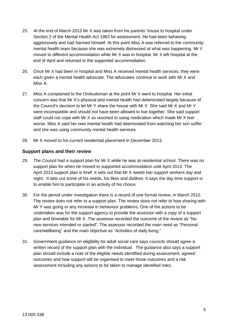- 25. At the end of March 2013 Mr X was taken from his parents' house to hospital under Section 2 of the Mental Health Act 1983 for assessment. He had been behaving aggressively and had harmed himself. At this point Miss A was referred to the community mental health team because she was extremely distressed at what was happening. Mr Y moved to different accommodation while Mr X was in hospital. Mr X left hospital at the end of April and returned to the supported accommodation.
- 26. Once Mr X had been in hospital and Miss A received mental health services, they were each given a mental health advocate. The advocates continue to work with Mr X and Miss A.
- 27. Miss A complained to the Ombudsman at the point Mr X went to hospital. Her initial concern was that Mr X's physical and mental health had deteriorated largely because of the Council's decision to let Mr Y share the house with Mr X. She said Mr X and Mr Y were incompatible and should not have been allowed to live together. She said support staff could not cope with Mr X so resorted to using medication which made Mr X feel worse. Miss A said her own mental health had deteriorated from watching her son suffer and she was using community mental health services.
- 28. Mr X moved to his current residential placement in December 2013.

#### **Support plans and their review**

- 29. The Council had a support plan for Mr X while he was at residential school. There was no support plan for when he moved to supported accommodation until April 2013. The April 2013 support plan is brief. It sets out that Mr X needs two support workers day and night. It sets out some of his needs, his likes and dislikes. It says the day time support is to enable him to participate in an activity of his choice.
- 30. For the period under investigation there is a record of one formal review, in March 2012. The review does not refer to a support plan. The review does not refer to how sharing with Mr Y was going or any increase in behaviour problems. One of the actions to be undertaken was for the support agency to provide the assessor with a copy of a support plan and timetable for Mr X. The assessor recorded the outcome of the review as "No new services intended or started". The assessor recorded the main need as "Personal care/wellbeing" and the main objective as "Activities of daily living."
- 31. Government guidance on eligibility for adult social care says councils should agree a written record of the support plan with the individual. The guidance also says a support plan should include a note of the eligible needs identified during assessment, agreed outcomes and how support will be organised to meet those outcomes and a risk assessment including any actions to be taken to manage identified risks.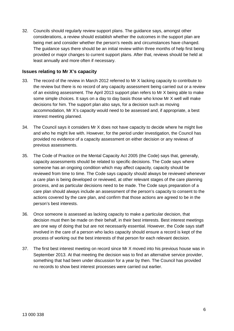32. Councils should regularly review support plans. The guidance says, amongst other considerations, a review should establish whether the outcomes in the support plan are being met and consider whether the person's needs and circumstances have changed. The guidance says there should be an initial review within three months of help first being provided or major changes to current support plans. After that, reviews should be held at least annually and more often if necessary.

#### **Issues relating to Mr X's capacity**

- 33. The record of the review in March 2012 referred to Mr X lacking capacity to contribute to the review but there is no record of any capacity assessment being carried out or a review of an existing assessment. The April 2013 support plan refers to Mr X being able to make some simple choices. It says on a day to day basis those who know Mr X well will make decisions for him. The support plan also says, for a decision such as moving accommodation, Mr X's capacity would need to be assessed and, if appropriate, a best interest meeting planned.
- 34. The Council says it considers Mr X does not have capacity to decide where he might live and who he might live with. However, for the period under investigation, the Council has provided no evidence of a capacity assessment on either decision or any reviews of previous assessments.
- 35. The Code of Practice on the Mental Capacity Act 2005 (the Code) says that, generally, capacity assessments should be related to specific decisions. The Code says where someone has an ongoing condition which may affect capacity, capacity should be reviewed from time to time. The Code says capacity should always be reviewed whenever a care plan is being developed or reviewed, at other relevant stages of the care planning process, and as particular decisions need to be made. The Code says preparation of a care plan should always include an assessment of the person's capacity to consent to the actions covered by the care plan, and confirm that those actions are agreed to be in the person's best interests.
- 36. Once someone is assessed as lacking capacity to make a particular decision, that decision must then be made on their behalf, in their best interests. Best interest meetings are one way of doing that but are not necessarily essential. However, the Code says staff involved in the care of a person who lacks capacity should ensure a record is kept of the process of working out the best interests of that person for each relevant decision.
- 37. The first best interest meeting on record since Mr X moved into his previous house was in September 2013. At that meeting the decision was to find an alternative service provider, something that had been under discussion for a year by then. The Council has provided no records to show best interest processes were carried out earlier.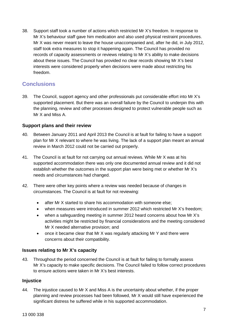38. Support staff took a number of actions which restricted Mr X's freedom. In response to Mr X's behaviour staff gave him medication and also used physical restraint procedures. Mr X was never meant to leave the house unaccompanied and, after he did, in July 2012, staff took extra measures to stop it happening again. The Council has provided no records of capacity assessments or reviews relating to Mr X's ability to make decisions about these issues. The Council has provided no clear records showing Mr X's best interests were considered properly when decisions were made about restricting his freedom.

# <span id="page-9-0"></span>**Conclusions**

39. The Council, support agency and other professionals put considerable effort into Mr X's supported placement. But there was an overall failure by the Council to underpin this with the planning, review and other processes designed to protect vulnerable people such as Mr X and Miss A.

#### **Support plans and their review**

- 40. Between January 2011 and April 2013 the Council is at fault for failing to have a support plan for Mr X relevant to where he was living. The lack of a support plan meant an annual review in March 2012 could not be carried out properly.
- 41. The Council is at fault for not carrying out annual reviews. While Mr X was at his supported accommodation there was only one documented annual review and it did not establish whether the outcomes in the support plan were being met or whether Mr X's needs and circumstances had changed.
- 42. There were other key points where a review was needed because of changes in circumstances. The Council is at fault for not reviewing:
	- after Mr X started to share his accommodation with someone else;
	- when measures were introduced in summer 2012 which restricted Mr X's freedom;
	- when a safeguarding meeting in summer 2012 heard concerns about how Mr X's activities might be restricted by financial considerations and the meeting considered Mr X needed alternative provision; and
	- once it became clear that Mr X was regularly attacking Mr Y and there were concerns about their compatibility.

### **Issues relating to Mr X's capacity**

43. Throughout the period concerned the Council is at fault for failing to formally assess Mr X's capacity to make specific decisions. The Council failed to follow correct procedures to ensure actions were taken in Mr X's best interests.

#### **Injustice**

44. The injustice caused to Mr X and Miss A is the uncertainty about whether, if the proper planning and review processes had been followed, Mr X would still have experienced the significant distress he suffered while in his supported accommodation.